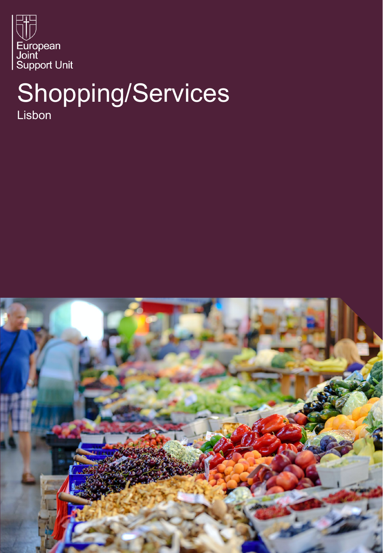

# Shopping/Services Lisbon

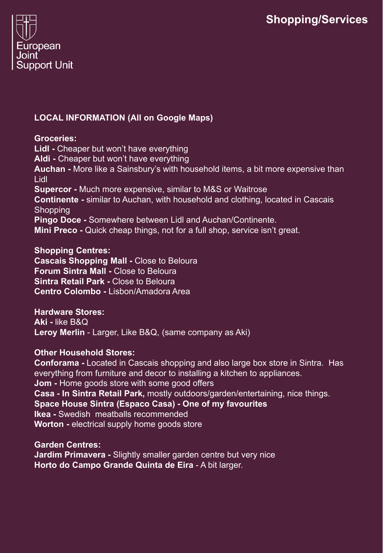

# **LOCAL INFORMATION (All on Google Maps)**

#### **Groceries:**

**Lidl -** Cheaper but won't have everything **Aldi -** Cheaper but won't have everything **Auchan -** More like a Sainsbury's with household items, a bit more expensive than Lidl **Supercor -** Much more expensive, similar to M&S or Waitrose **Continente -** similar to Auchan, with household and clothing, located in Cascais **Shopping Pingo Doce -** Somewhere between Lidl and Auchan/Continente. **Mini Preco -** Quick cheap things, not for a full shop, service isn't great.

# **Shopping Centres:**

**Cascais Shopping Mall -** Close to Beloura **Forum Sintra Mall -** Close to Beloura **Sintra Retail Park -** Close to Beloura **Centro Colombo -** Lisbon/Amadora Area

#### **Hardware Stores:**

**Aki -** like B&Q **Leroy Merlin** - Larger, Like B&Q, (same company as Aki)

# **Other Household Stores:**

**Conforama -** Located in Cascais shopping and also large box store in Sintra. Has everything from furniture and decor to installing a kitchen to appliances. **Jom -** Home goods store with some good offers **Casa - In Sintra Retail Park,** mostly outdoors/garden/entertaining, nice things. **Space House Sintra (Espaco Casa) - One of my favourites Ikea -** Swedish meatballs recommended **Worton -** electrical supply home goods store

**Garden Centres: Jardim Primavera -** Slightly smaller garden centre but very nice **Horto do Campo Grande Quinta de Eira** - A bit larger.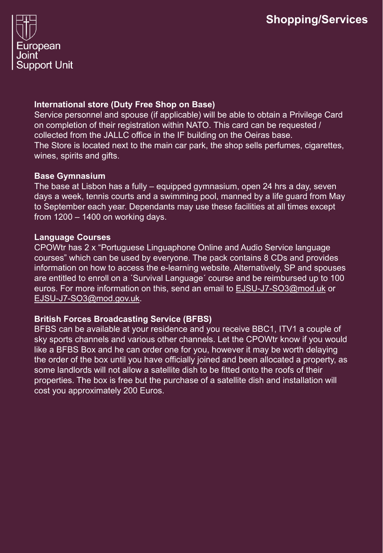

## **International store (Duty Free Shop on Base)**

Service personnel and spouse (if applicable) will be able to obtain a Privilege Card on completion of their registration within NATO. This card can be requested / collected from the JALLC office in the IF building on the Oeiras base. The Store is located next to the main car park, the shop sells perfumes, cigarettes, wines, spirits and gifts.

#### **Base Gymnasium**

The base at Lisbon has a fully – equipped gymnasium, open 24 hrs a day, seven days a week, tennis courts and a swimming pool, manned by a life guard from May to September each year. Dependants may use these facilities at all times except from  $1200 - 1400$  on working days.

# **Language Courses**

CPOWtr has 2 x "Portuguese Linguaphone Online and Audio Service language courses" which can be used by everyone. The pack contains 8 CDs and provides information on how to access the e-learning website. Alternatively, SP and spouses are entitled to enroll on a ´Survival Language´ course and be reimbursed up to 100 euros. For more information on this, send an email to [EJSU-J7-SO3@mod.uk](mailto:EJSU-J7-SO3@mod.uk) or [EJSU-J7-SO3@mod.gov.uk.](mailto:EJSU-J7-SO3@mod.gov.uk)

# **British Forces Broadcasting Service (BFBS)**

BFBS can be available at your residence and you receive BBC1, ITV1 a couple of sky sports channels and various other channels. Let the CPOWtr know if you would like a BFBS Box and he can order one for you, however it may be worth delaying the order of the box until you have officially joined and been allocated a property, as some landlords will not allow a satellite dish to be fitted onto the roofs of their properties. The box is free but the purchase of a satellite dish and installation will cost you approximately 200 Euros.